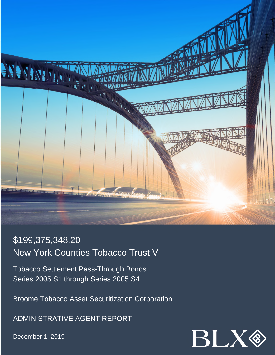

# \$199,375,348.20 New York Counties Tobacco Trust V

Tobacco Settlement Pass-Through Bonds Series 2005 S1 through Series 2005 S4

Broome Tobacco Asset Securitization Corporation

ADMINISTRATIVE AGENT REPORT

December 1, 2019

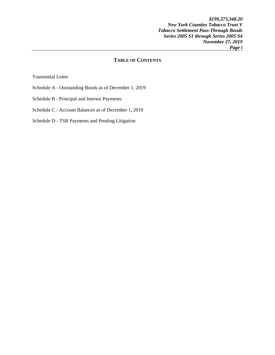*\$199,375,348.20 New York Counties Tobacco Trust V Tobacco Settlement Pass-Through Bonds Series 2005 S1 through Series 2005 S4 November 27, 2019 Page i* 

## **TABLE OF CONTENTS**

Transmittal Letter

- Schedule A Outstanding Bonds as of December 1, 2019
- Schedule B Principal and Interest Payments
- Schedule C Account Balances as of December 1, 2019
- Schedule D TSR Payments and Pending Litigation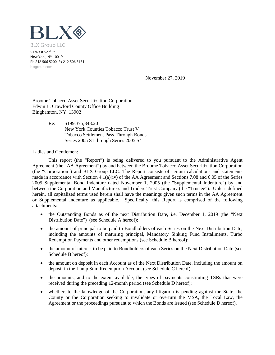

51 West 52nd St New York, NY 10019 Ph 212 506 5200 Fx 212 506 5151 blxgroup.com

November 27, 2019

Broome Tobacco Asset Securitization Corporation Edwin L. Crawford County Office Building Binghamton, NY 13902

> Re: \$199,375,348.20 New York Counties Tobacco Trust V Tobacco Settlement Pass-Through Bonds Series 2005 S1 through Series 2005 S4

Ladies and Gentlemen:

This report (the "Report") is being delivered to you pursuant to the Administrative Agent Agreement (the "AA Agreement") by and between the Broome Tobacco Asset Securitization Corporation (the "Corporation") and BLX Group LLC. The Report consists of certain calculations and statements made in accordance with Section 4.1(a)(iv) of the AA Agreement and Sections 7.08 and 6.05 of the Series 2005 Supplemental Bond Indenture dated November 1, 2005 (the "Supplemental Indenture") by and between the Corporation and Manufacturers and Traders Trust Company (the "Trustee"). Unless defined herein, all capitalized terms used herein shall have the meanings given such terms in the AA Agreement or Supplemental Indenture as applicable. Specifically, this Report is comprised of the following attachments:

- the Outstanding Bonds as of the next Distribution Date, i.e. December 1, 2019 (the "Next Distribution Date") (see Schedule A hereof);
- the amount of principal to be paid to Bondholders of each Series on the Next Distribution Date, including the amounts of maturing principal, Mandatory Sinking Fund Installments, Turbo Redemption Payments and other redemptions (see Schedule B hereof);
- the amount of interest to be paid to Bondholders of each Series on the Next Distribution Date (see Schedule B hereof);
- the amount on deposit in each Account as of the Next Distribution Date, including the amount on deposit in the Lump Sum Redemption Account (see Schedule C hereof);
- the amounts, and to the extent available, the types of payments constituting TSRs that were received during the preceding 12-month period (see Schedule D hereof);
- whether, to the knowledge of the Corporation, any litigation is pending against the State, the County or the Corporation seeking to invalidate or overturn the MSA, the Local Law, the Agreement or the proceedings pursuant to which the Bonds are issued (see Schedule D hereof).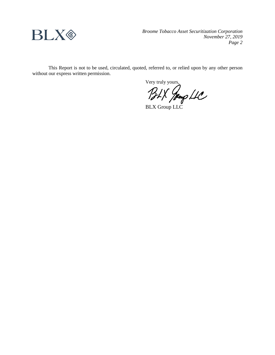

*Broome Tobacco Asset Securitization Corporation November 27, 2019 Page 2*

This Report is not to be used, circulated, quoted, referred to, or relied upon by any other person without our express written permission.

Very truly yours,

BLX Group LLC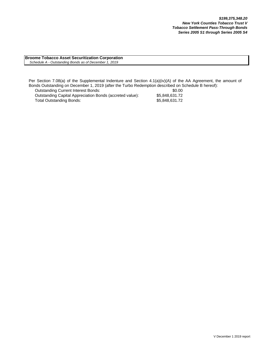**Broome Tobacco Asset Securitization Corporation**  *Schedule A - Outstanding Bonds as of December 1, 2019*

Per Section 7.08(a) of the Supplemental Indenture and Section 4.1(a)(iv)(A) of the AA Agreement, the amount of Bonds Outstanding on December 1, 2019 (after the Turbo Redemption described on Schedule B hereof):

Outstanding Current Interest Bonds: \$0.00 Outstanding Capital Appreciation Bonds (accreted value): \$5,848,631.72<br>Total Outstanding Bonds: \$5,848,631.72 Total Outstanding Bonds: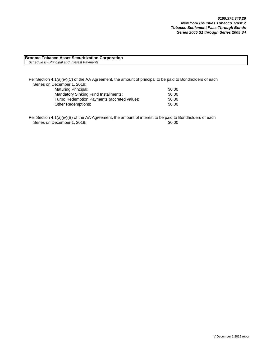#### **Broome Tobacco Asset Securitization Corporation** *Schedule B - Principal and Interest Payments*

Per Section 4.1(a)(iv)(C) of the AA Agreement, the amount of principal to be paid to Bondholders of each Series on December 1, 2019: Maturing Principal:  $$0.00$ 

| <b>Mandatory Sinking Fund Installments:</b> | \$0.00 |
|---------------------------------------------|--------|
| Turbo Redemption Payments (accreted value): | \$0.00 |
| Other Redemptions:                          | \$0.00 |

Per Section 4.1(a)(iv)(B) of the AA Agreement, the amount of interest to be paid to Bondholders of each Series on December 1, 2019: \$0.00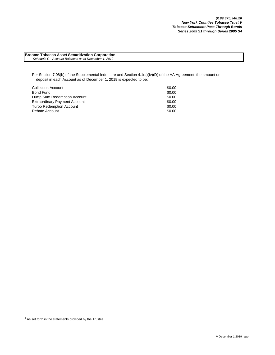**Broome Tobacco Asset Securitization Corporation**  *Schedule C - Account Balances as of December 1, 2019*

Per Section 7.08(b) of the Supplemental Indenture and Section 4.1(a)(iv)(D) of the AA Agreement, the amount on deposit in each Account as of December 1, 2019 is expected to be:

| <b>Collection Account</b>            | \$0.00 |
|--------------------------------------|--------|
| Bond Fund                            | \$0.00 |
| Lump Sum Redemption Account          | \$0.00 |
| <b>Extraordinary Payment Account</b> | \$0.00 |
| <b>Turbo Redemption Account</b>      | \$0.00 |
| Rebate Account                       | \$0.00 |

 $1$  As set forth in the statements provided by the Trustee.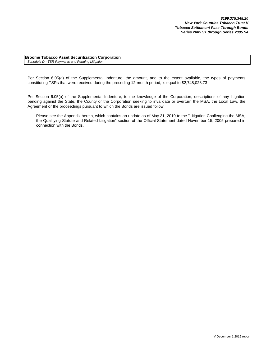**Broome Tobacco Asset Securitization Corporation** *Schedule D - TSR Payments and Pending Litigation*

Per Section 6.05(a) of the Supplemental Indenture, the amount, and to the extent available, the types of payments constituting TSRs that were received during the preceding 12-month period, is equal to \$2,748,028.73

Per Section 6.05(a) of the Supplemental Indenture, to the knowledge of the Corporation, descriptions of any litigation pending against the State, the County or the Corporation seeking to invalidate or overturn the MSA, the Local Law, the Agreement or the proceedings pursuant to which the Bonds are issued follow:

Please see the Appendix herein, which contains an update as of May 31, 2019 to the "Litigation Challenging the MSA, the Qualifying Statute and Related Litigation" section of the Official Statement dated November 15, 2005 prepared in connection with the Bonds.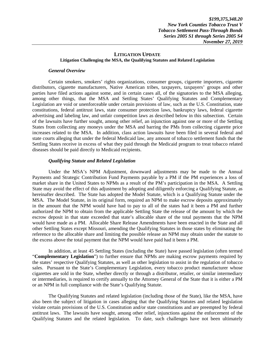## **LITIGATION UPDATE Litigation Challenging the MSA, the Qualifying Statutes and Related Legislation**

#### *General Overview*

Certain smokers, smokers' rights organizations, consumer groups, cigarette importers, cigarette distributors, cigarette manufacturers, Native American tribes, taxpayers, taxpayers' groups and other parties have filed actions against some, and in certain cases all, of the signatories to the MSA alleging, among other things, that the MSA and Settling States' Qualifying Statutes and Complementary Legislation are void or unenforceable under certain provisions of law, such as the U.S. Constitution, state constitutions, federal antitrust laws, state consumer protection laws, bankruptcy laws, federal cigarette advertising and labeling law, and unfair competition laws as described below in this subsection. Certain of the lawsuits have further sought, among other relief, an injunction against one or more of the Settling States from collecting any moneys under the MSA and barring the PMs from collecting cigarette price increases related to the MSA. In addition, class action lawsuits have been filed in several federal and state courts alleging that under the federal Medicaid law, any amount of tobacco settlement funds that the Settling States receive in excess of what they paid through the Medicaid program to treat tobacco related diseases should be paid directly to Medicaid recipients.

#### *Qualifying Statute and Related Legislation*

Under the MSA's NPM Adjustment, downward adjustments may be made to the Annual Payments and Strategic Contribution Fund Payments payable by a PM if the PM experiences a loss of market share in the United States to NPMs as a result of the PM's participation in the MSA. A Settling State may avoid the effect of this adjustment by adopting and diligently enforcing a Qualifying Statute, as hereinafter described. The State has adopted the Model Statute, which is a Qualifying Statute under the MSA. The Model Statute, in its original form, required an NPM to make escrow deposits approximately in the amount that the NPM would have had to pay to all of the states had it been a PM and further authorized the NPM to obtain from the applicable Settling State the release of the amount by which the escrow deposit in that state exceeded that state's allocable share of the total payments that the NPM would have made as a PM. Allocable Share Release Amendments have been enacted in the State and all other Settling States except Missouri, amending the Qualifying Statutes in those states by eliminating the reference to the allocable share and limiting the possible release an NPM may obtain under the statute to the excess above the total payment that the NPM would have paid had it been a PM.

In addition, at least 45 Settling States (including the State) have passed legislation (often termed "**Complementary Legislation**") to further ensure that NPMs are making escrow payments required by the states' respective Qualifying Statutes, as well as other legislation to assist in the regulation of tobacco sales. Pursuant to the State's Complementary Legislation, every tobacco product manufacturer whose cigarettes are sold in the State, whether directly or through a distributor, retailer, or similar intermediary or intermediaries, is required to certify annually to the Attorney General of the State that it is either a PM or an NPM in full compliance with the State's Qualifying Statute.

The Qualifying Statutes and related legislation (including those of the State), like the MSA, have also been the subject of litigation in cases alleging that the Qualifying Statutes and related legislation violate certain provisions of the U.S. Constitution and/or state constitutions and are preempted by federal antitrust laws. The lawsuits have sought, among other relief, injunctions against the enforcement of the Qualifying Statutes and the related legislation. To date, such challenges have not been ultimately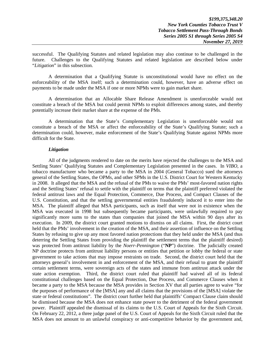successful. The Qualifying Statutes and related legislation may also continue to be challenged in the future. Challenges to the Qualifying Statutes and related legislation are described below under "*Litigation*" in this subsection.

A determination that a Qualifying Statute is unconstitutional would have no effect on the enforceability of the MSA itself; such a determination could, however, have an adverse effect on payments to be made under the MSA if one or more NPMs were to gain market share.

A determination that an Allocable Share Release Amendment is unenforceable would not constitute a breach of the MSA but could permit NPMs to exploit differences among states, and thereby potentially increase their market share at the expense of the PMs.

A determination that the State's Complementary Legislation is unenforceable would not constitute a breach of the MSA or affect the enforceability of the State's Qualifying Statute; such a determination could, however, make enforcement of the State's Qualifying Statute against NPMs more difficult for the State.

## *Litigation*

All of the judgments rendered to date on the merits have rejected the challenges to the MSA and Settling States' Qualifying Statutes and Complementary Legislation presented in the cases. In *VIBO*, a tobacco manufacturer who became a party to the MSA in 2004 (General Tobacco) sued the attorneys general of the Settling States, the OPMs, and other SPMs in the U.S. District Court for Western Kentucky in 2008. It alleged that the MSA and the refusal of the PMs to waive the PMs' most-favored nation rights and the Settling States' refusal to settle with the plaintiff on terms that the plaintiff preferred violated the federal antitrust laws and the Equal Protection, Commerce, Due Process, and Compact Clauses of the U.S. Constitution, and that the settling governmental entities fraudulently induced it to enter into the MSA. The plaintiff alleged that MSA participants, such as itself that were not in existence when the MSA was executed in 1998 but subsequently became participants, were unlawfully required to pay significantly more sums to the states than companies that joined the MSA within 90 days after its execution. In 2009, the district court granted motions to dismiss on all claims. First, the district court held that the PMs' involvement in the creation of the MSA, and their assertion of influence on the Settling States by refusing to give up any most favored nation protections that they held under the MSA (and thus deterring the Settling States from providing the plaintiff the settlement terms that the plaintiff desired) was protected from antitrust liability by the *Noerr-Pennington* ("**NP**") doctrine. The judicially created NP doctrine protects from antitrust liability persons or entities that petition or lobby the federal or state government to take actions that may impose restraints on trade. Second, the district court held that the attorneys general's involvement in and enforcement of the MSA, and their refusal to grant the plaintiff certain settlement terms, were sovereign acts of the states and immune from antitrust attack under the state action exemption. Third, the district court ruled that plaintiff had waived all of its federal constitutional challenges based on the Equal Protection, Due Process, and Commerce Clauses when it became a party to the MSA because the MSA provides in Section XV that all parties agree to waive "for the purposes of performance of the [MSA] any and all claims that the provisions of the [MSA] violate the state or federal constitutions". The district court further held that plaintiffs' Compact Clause claim should be dismissed because the MSA does not enhance state power to the detriment of the federal government power. Plaintiff appealed the dismissal of its claims to the U.S. Court of Appeals for the Sixth Circuit. On February 22, 2012, a three judge panel of the U.S. Court of Appeals for the Sixth Circuit ruled that the MSA does not amount to an unlawful conspiracy or anti-competitive behavior by the government and,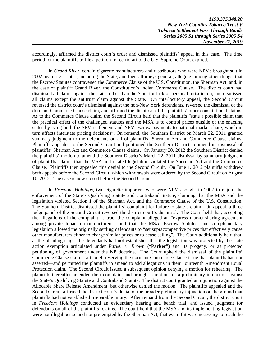accordingly, affirmed the district court's order and dismissed plaintiffs' appeal in this case. The time period for the plaintiffs to file a petition for certiorari to the U.S. Supreme Court expired.

In *Grand River*, certain cigarette manufacturers and distributors who were NPMs brought suit in 2002 against 31 states, including the State, and their attorneys general, alleging, among other things, that the Escrow Statutes contravened the Commerce Clause of the U.S. Constitution, the Sherman Act, and, in the case of plaintiff Grand River, the Constitution's Indian Commerce Clause. The district court had dismissed all claims against the states other than the State for lack of personal jurisdiction, and dismissed all claims except the antitrust claim against the State. On interlocutory appeal, the Second Circuit reversed the district court's dismissal against the non-New York defendants, reversed the dismissal of the dormant Commerce Clause claim, and affirmed the dismissal of the plaintiffs' other constitutional claims. As to the Commerce Clause claim, the Second Circuit held that the plaintiffs "state a possible claim that the practical effect of the challenged statutes and the MSA is to control prices outside of the enacting states by tying both the SPM settlement and NPM escrow payments to national market share, which in turn affects interstate pricing decisions". On remand, the Southern District on March 22, 2011 granted summary judgment to the defendants on all of plaintiffs' Sherman Act and Commerce Clause claims. Plaintiffs appealed to the Second Circuit and petitioned the Southern District to amend its dismissal of plaintiffs' Sherman Act and Commerce Clause claims. On January 30, 2012 the Southern District denied the plaintiffs' motion to amend the Southern District's March 22, 2011 dismissal by summary judgment of plaintiffs' claims that the MSA and related legislation violated the Sherman Act and the Commerce Clause. Plaintiffs then appealed this denial to the Second Circuit. On June 1, 2012 plaintiffs withdrew both appeals before the Second Circuit, which withdrawals were ordered by the Second Circuit on August 10, 2012. The case is now closed before the Second Circuit.

In *Freedom Holdings*, two cigarette importers who were NPMs sought in 2002 to enjoin the enforcement of the State's Qualifying Statute and Contraband Statute, claiming that the MSA and the legislation violated Section 1 of the Sherman Act, and the Commerce Clause of the U.S. Constitution. The Southern District dismissed the plaintiffs' complaint for failure to state a claim. On appeal, a three judge panel of the Second Circuit reversed the district court's dismissal. The Court held that, accepting the allegations of the complaint as true, the complaint alleged an "express market-sharing agreement among private tobacco manufacturers", and that the MSA, Escrow Statutes, and complementary legislation allowed the originally settling defendants to "set supracompetitive prices that effectively cause other manufacturers either to charge similar prices or to cease selling". The Court additionally held that, at the pleading stage, the defendants had not established that the legislation was protected by the state action exemption articulated under *Parker v. Brown* ("**Parker**") and its progeny, or as protected petitioning of government under the NP doctrine. The Court upheld the dismissal of the plaintiffs' Commerce Clause claim—although reserving the dormant Commerce Clause issue that plaintiffs had not asserted—and permitted the plaintiffs to amend to add allegations in their Fourteenth Amendment Equal Protection claim. The Second Circuit issued a subsequent opinion denying a motion for rehearing. The plaintiffs thereafter amended their complaint and brought a motion for a preliminary injunction against the State's Qualifying Statute and Contraband Statute. The district court granted an injunction against the Allocable Share Release Amendment, but otherwise denied the motion. The plaintiffs appealed and the Second Circuit affirmed the district court's denial of the broader preliminary injunction on the ground that plaintiffs had not established irreparable injury. After remand from the Second Circuit, the district court in *Freedom Holdings* conducted an evidentiary hearing and bench trial, and issued judgment for defendants on all of the plaintiffs' claims. The court held that the MSA and its implementing legislation were not illegal per se and not pre-empted by the Sherman Act, that even if it were necessary to reach the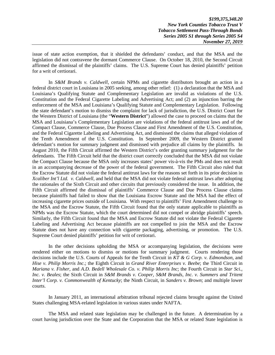*\$199,375,348.20 New York Counties Tobacco Trust V Tobacco Settlement Pass-Through Bonds Series 2005 S1 through Series 2005 S4 November 27, 2019* 

issue of state action exemption, that it shielded the defendants' conduct, and that the MSA and the legislation did not contravene the dormant Commerce Clause. On October 18, 2010, the Second Circuit affirmed the dismissal of the plaintiffs' claims. The U.S. Supreme Court has denied plaintiffs' petition for a writ of certiorari.

In *S&M Brands v. Caldwell*, certain NPMs and cigarette distributors brought an action in a federal district court in Louisiana in 2005 seeking, among other relief: (1) a declaration that the MSA and Louisiana's Qualifying Statute and Complementary Legislation are invalid as violations of the U.S. Constitution and the Federal Cigarette Labeling and Advertising Act; and (2) an injunction barring the enforcement of the MSA and Louisiana's Qualifying Statute and Complementary Legislation. Following the state defendant's motion to dismiss the complaint for lack of jurisdiction, the U.S. District Court for the Western District of Louisiana (the "**Western District**") allowed the case to proceed on claims that the MSA and Louisiana's Complementary Legislation are violations of the federal antitrust laws and of the Compact Clause, Commerce Clause, Due Process Clause and First Amendment of the U.S. Constitution, and the Federal Cigarette Labeling and Advertising Act, and dismissed the claims that alleged violation of the Tenth Amendment of the U.S. Constitution. In September 2009, the Western District granted defendant's motion for summary judgment and dismissed with prejudice all claims by the plaintiffs. In August 2010, the Fifth Circuit affirmed the Western District's order granting summary judgment for the defendants. The Fifth Circuit held that the district court correctly concluded that the MSA did not violate the Compact Clause because the MSA only increases states' power vis-à-vis the PMs and does not result in an accompanying decrease of the power of the federal government. The Fifth Circuit also ruled that the Escrow Statute did not violate the federal antitrust laws for the reasons set forth in its prior decision in *Xcaliber Int'l Ltd. v. Caldwell*, and held that the MSA did not violate federal antitrust laws after adopting the rationales of the Sixth Circuit and other circuits that previously considered the issue. In addition, the Fifth Circuit affirmed the dismissal of plaintiffs' Commerce Clause and Due Process Clause claims because plaintiffs had failed to show that the Louisiana Escrow Statute and the MSA had the effect of increasing cigarette prices outside of Louisiana. With respect to plaintiffs' First Amendment challenge to the MSA and the Escrow Statute, the Fifth Circuit found that the only statute applicable to plaintiffs as NPMs was the Escrow Statute, which the court determined did not compel or abridge plaintiffs' speech. Similarly, the Fifth Circuit found that the MSA and Escrow Statute did not violate the Federal Cigarette Labeling and Advertising Act because plaintiffs are not compelled to join the MSA and the Escrow Statute does not have any connection with cigarette packaging, advertising, or promotion. The U.S. Supreme Court denied plaintiffs' petition for writ of certiorari.

In the other decisions upholding the MSA or accompanying legislation, the decisions were rendered either on motions to dismiss or motions for summary judgment. Courts rendering those decisions include the U.S. Courts of Appeals for the Tenth Circuit in *KT & G Corp. v. Edmondson*, and *Hise v. Philip Morris Inc*.; the Eighth Circuit in *Grand River Enterprises v. Beebe*; the Third Circuit in *Mariana v. Fisher*, and *A.D. Bedell Wholesale Co. v. Philip Morris Inc*; the Fourth Circuit in *Star Sci., Inc. v. Beales*; the Sixth Circuit in *S&M Brands v. Cooper*, *S&M Brands, Inc. v. Summers and Tritent Inter'l Corp. v. Commonwealth of Kentucky*; the Ninth Circuit, in *Sanders v. Brown*; and multiple lower courts.

In January 2011, an international arbitration tribunal rejected claims brought against the United States challenging MSA-related legislation in various states under NAFTA.

The MSA and related state legislation may be challenged in the future. A determination by a court having jurisdiction over the State and the Corporation that the MSA or related State legislation is